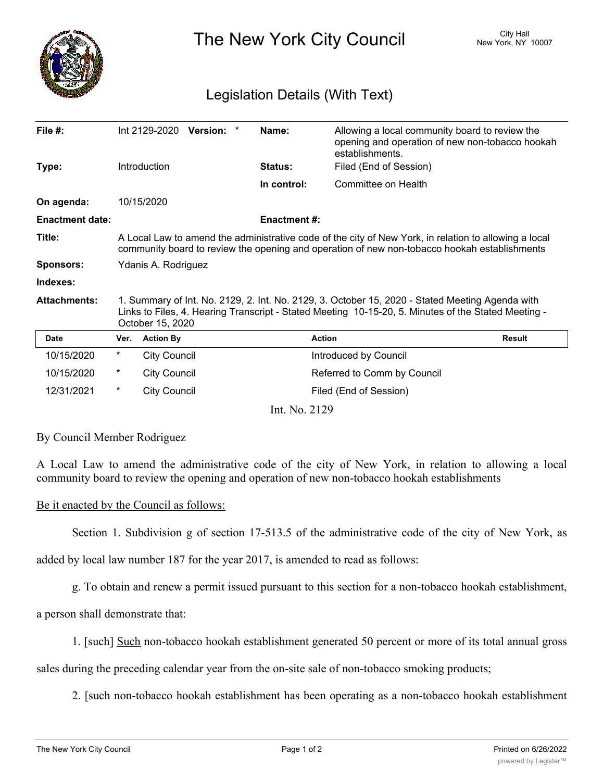

The New York City Council New York, NY 10007

## Legislation Details (With Text)

| File $#$ :             |                                                                                                                                                                                                                            | Int 2129-2020 Version: * |  |  | Name:               | Allowing a local community board to review the<br>opening and operation of new non-tobacco hookah<br>establishments. |               |
|------------------------|----------------------------------------------------------------------------------------------------------------------------------------------------------------------------------------------------------------------------|--------------------------|--|--|---------------------|----------------------------------------------------------------------------------------------------------------------|---------------|
| Type:                  |                                                                                                                                                                                                                            | Introduction             |  |  | <b>Status:</b>      | Filed (End of Session)                                                                                               |               |
|                        |                                                                                                                                                                                                                            |                          |  |  | In control:         | Committee on Health                                                                                                  |               |
| On agenda:             |                                                                                                                                                                                                                            | 10/15/2020               |  |  |                     |                                                                                                                      |               |
| <b>Enactment date:</b> |                                                                                                                                                                                                                            |                          |  |  | <b>Enactment #:</b> |                                                                                                                      |               |
| Title:                 | A Local Law to amend the administrative code of the city of New York, in relation to allowing a local<br>community board to review the opening and operation of new non-tobacco hookah establishments                      |                          |  |  |                     |                                                                                                                      |               |
| <b>Sponsors:</b>       | Ydanis A. Rodriguez                                                                                                                                                                                                        |                          |  |  |                     |                                                                                                                      |               |
| Indexes:               |                                                                                                                                                                                                                            |                          |  |  |                     |                                                                                                                      |               |
| <b>Attachments:</b>    | 1. Summary of Int. No. 2129, 2. Int. No. 2129, 3. October 15, 2020 - Stated Meeting Agenda with<br>Links to Files, 4. Hearing Transcript - Stated Meeting 10-15-20, 5. Minutes of the Stated Meeting -<br>October 15, 2020 |                          |  |  |                     |                                                                                                                      |               |
| <b>Date</b>            | Ver.                                                                                                                                                                                                                       | <b>Action By</b>         |  |  |                     | <b>Action</b>                                                                                                        | <b>Result</b> |
| 10/15/2020             | $^\star$                                                                                                                                                                                                                   | <b>City Council</b>      |  |  |                     | Introduced by Council                                                                                                |               |
| 10/15/2020             | $^\star$                                                                                                                                                                                                                   | <b>City Council</b>      |  |  |                     | Referred to Comm by Council                                                                                          |               |
| 12/31/2021             | $^\star$                                                                                                                                                                                                                   | <b>City Council</b>      |  |  |                     | Filed (End of Session)                                                                                               |               |
| Int. No. 2129          |                                                                                                                                                                                                                            |                          |  |  |                     |                                                                                                                      |               |

By Council Member Rodriguez

A Local Law to amend the administrative code of the city of New York, in relation to allowing a local community board to review the opening and operation of new non-tobacco hookah establishments

## Be it enacted by the Council as follows:

Section 1. Subdivision g of section 17-513.5 of the administrative code of the city of New York, as

added by local law number 187 for the year 2017, is amended to read as follows:

g. To obtain and renew a permit issued pursuant to this section for a non-tobacco hookah establishment,

a person shall demonstrate that:

1. [such] Such non-tobacco hookah establishment generated 50 percent or more of its total annual gross

sales during the preceding calendar year from the on-site sale of non-tobacco smoking products;

2. [such non-tobacco hookah establishment has been operating as a non-tobacco hookah establishment